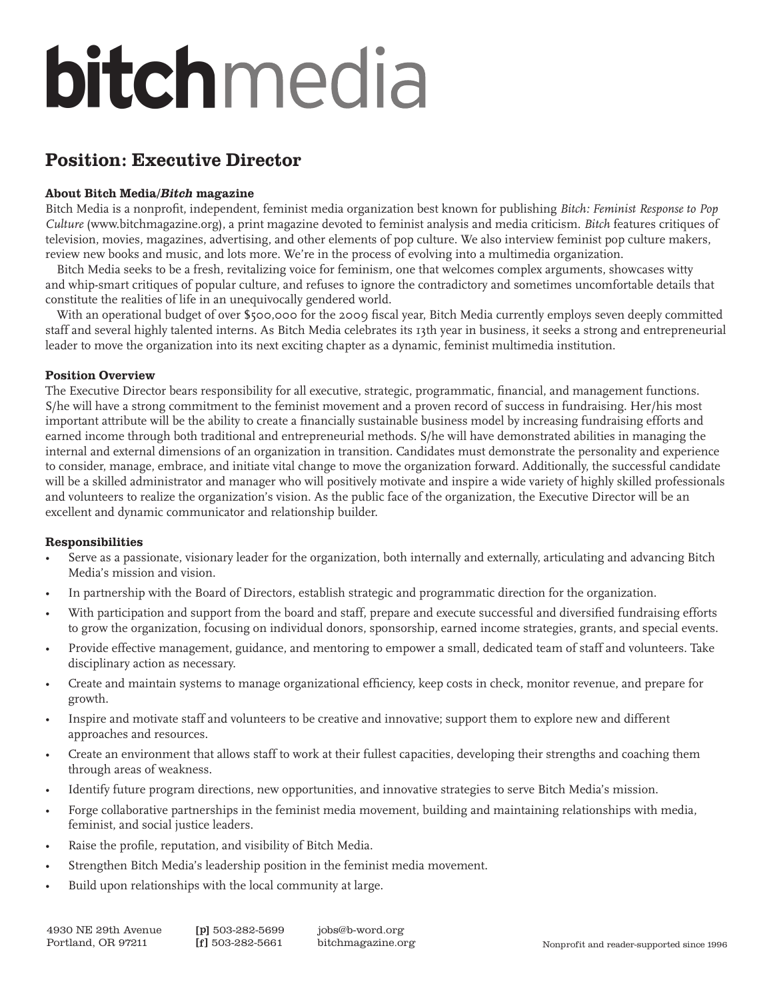# bitchmedia

# Position: Executive Director

# About Bitch Media/Bitch magazine

Bitch Media is a nonprofit, independent, feminist media organization best known for publishing Bitch: Feminist Response to Pop Culture (www.bitchmagazine.org), a print magazine devoted to feminist analysis and media criticism. Bitch features critiques of television, movies, magazines, advertising, and other elements of pop culture. We also interview feminist pop culture makers, review new books and music, and lots more. We're in the process of evolving into a multimedia organization.

Bitch Media seeks to be a fresh, revitalizing voice for feminism, one that welcomes complex arguments, showcases witty and whip-smart critiques of popular culture, and refuses to ignore the contradictory and sometimes uncomfortable details that constitute the realities of life in an unequivocally gendered world.

With an operational budget of over \$500,000 for the 2009 fiscal year, Bitch Media currently employs seven deeply committed staff and several highly talented interns. As Bitch Media celebrates its 13th year in business, it seeks a strong and entrepreneurial leader to move the organization into its next exciting chapter as a dynamic, feminist multimedia institution.

# Position Overview

The Executive Director bears responsibility for all executive, strategic, programmatic, financial, and management functions. S/he will have a strong commitment to the feminist movement and a proven record of success in fundraising. Her/his most important attribute will be the ability to create a financially sustainable business model by increasing fundraising efforts and earned income through both traditional and entrepreneurial methods. S/he will have demonstrated abilities in managing the internal and external dimensions of an organization in transition. Candidates must demonstrate the personality and experience to consider, manage, embrace, and initiate vital change to move the organization forward. Additionally, the successful candidate will be a skilled administrator and manager who will positively motivate and inspire a wide variety of highly skilled professionals and volunteers to realize the organization's vision. As the public face of the organization, the Executive Director will be an excellent and dynamic communicator and relationship builder.

#### Responsibilities

- Serve as a passionate, visionary leader for the organization, both internally and externally, articulating and advancing Bitch Media's mission and vision. .
- In partnership with the Board of Directors, establish strategic and programmatic direction for the organization. .
- With participation and support from the board and staff, prepare and execute successful and diversified fundraising efforts to grow the organization, focusing on individual donors, sponsorship, earned income strategies, grants, and special events. .
- Provide effective management, guidance, and mentoring to empower a small, dedicated team of staff and volunteers. Take disciplinary action as necessary. .
- Create and maintain systems to manage organizational efficiency, keep costs in check, monitor revenue, and prepare for growth. .
- Inspire and motivate staff and volunteers to be creative and innovative; support them to explore new and different approaches and resources. .
- Create an environment that allows staff to work at their fullest capacities, developing their strengths and coaching them through areas of weakness. .
- Identify future program directions, new opportunities, and innovative strategies to serve Bitch Media's mission. .
- Forge collaborative partnerships in the feminist media movement, building and maintaining relationships with media, feminist, and social justice leaders. .
- Raise the profile, reputation, and visibility of Bitch Media. .
- Strengthen Bitch Media's leadership position in the feminist media movement. .
- Build upon relationships with the local community at large. .